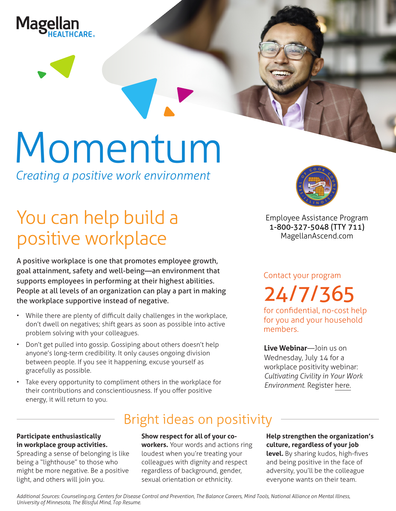



*Creating a positive work environment*

# You can help build a positive workplace

A positive workplace is one that promotes employee growth, goal attainment, safety and well-being—an environment that supports employees in performing at their highest abilities. People at all levels of an organization can play a part in making the workplace supportive instead of negative.

- While there are plenty of difficult daily challenges in the workplace, don't dwell on negatives; shift gears as soon as possible into active problem solving with your colleagues.
- Don't get pulled into gossip. Gossiping about others doesn't help anyone's long-term credibility. It only causes ongoing division between people. If you see it happening, excuse yourself as gracefully as possible.
- Take every opportunity to compliment others in the workplace for their contributions and conscientiousness. If you offer positive energy, it will return to you.



**Employee Assistance Program 1-800-327-5048 (TTY 711) MagellanAscend.com**

Contact your program 24/7/365

for confidential, no-cost help for you and your household members.

**Live Webinar**—Join us on Wednesday, July 14 for a workplace positivity webinar: *Cultivating Civility in [Your](https://events-na4.adobeconnect.com/content/connect/c1/825364167/en/events/event/shared/default_template_simple/event_registration.html?sco-id=1842545468&_charset_=utf-8) Work Environment*. Register here.

## Bright ideas on positivity

#### **Participate enthusiastically in workplace group activities.**

Spreading a sense of belonging is like being a "lighthouse" to those who might be more negative. Be a positive light, and others will join you.

#### **Show respect for all of your co-**

**workers.** Your words and actions ring loudest when you're treating your colleagues with dignity and respect regardless of background, gender, sexual orientation or ethnicity.

**Help strengthen the organization's culture, regardless of your job level.** By sharing kudos, high-fives and being positive in the face of adversity, you'll be the colleague everyone wants on their team.

*Additional Sources: Counseling.org, Centers for Disease Control and Prevention, The Balance Careers, Mind Tools, National Alliance on Mental Illness, University of Minnesota, The Blissful Mind, Top Resume.*